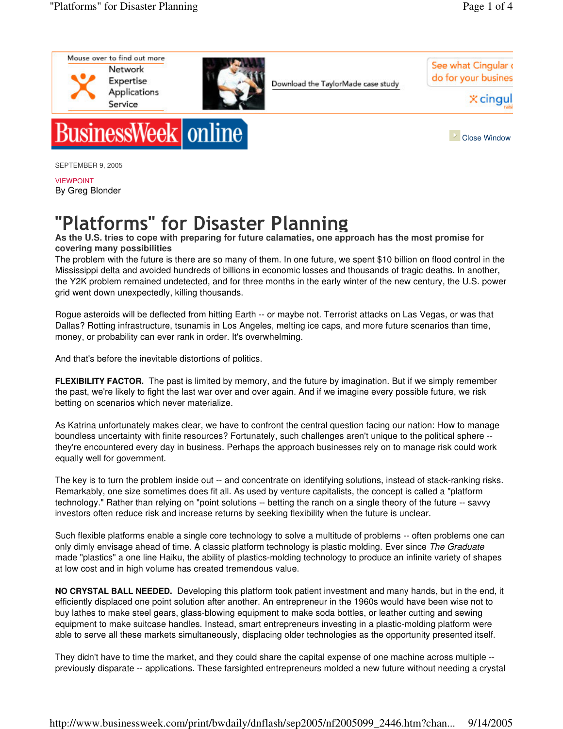

Network Expertise Applications Service



Download the TaylorMade case study

See what Cingular o do for your busines

X cingu

Close Window

SEPTEMBER 9, 2005 VIEWPOINT

By Greg Blonder

# "Platforms" for Disaster Planning

As the U.S. tries to cope with preparing for future calamaties, one approach has the most promise for **covering many possibilities**

The problem with the future is there are so many of them. In one future, we spent \$10 billion on flood control in the Mississippi delta and avoided hundreds of billions in economic losses and thousands of tragic deaths. In another, the Y2K problem remained undetected, and for three months in the early winter of the new century, the U.S. power grid went down unexpectedly, killing thousands.

Rogue asteroids will be deflected from hitting Earth -- or maybe not. Terrorist attacks on Las Vegas, or was that Dallas? Rotting infrastructure, tsunamis in Los Angeles, melting ice caps, and more future scenarios than time, money, or probability can ever rank in order. It's overwhelming.

And that's before the inevitable distortions of politics.

**FLEXIBILITY FACTOR.** The past is limited by memory, and the future by imagination. But if we simply remember the past, we're likely to fight the last war over and over again. And if we imagine every possible future, we risk betting on scenarios which never materialize.

As Katrina unfortunately makes clear, we have to confront the central question facing our nation: How to manage boundless uncertainty with finite resources? Fortunately, such challenges aren't unique to the political sphere - they're encountered every day in business. Perhaps the approach businesses rely on to manage risk could work equally well for government.

The key is to turn the problem inside out -- and concentrate on identifying solutions, instead of stack-ranking risks. Remarkably, one size sometimes does fit all. As used by venture capitalists, the concept is called a "platform technology." Rather than relying on "point solutions -- betting the ranch on a single theory of the future -- savvy investors often reduce risk and increase returns by seeking flexibility when the future is unclear.

Such flexible platforms enable a single core technology to solve a multitude of problems -- often problems one can only dimly envisage ahead of time. A classic platform technology is plastic molding. Ever since *The Graduate* made "plastics" a one line Haiku, the ability of plastics-molding technology to produce an infinite variety of shapes at low cost and in high volume has created tremendous value.

**NO CRYSTAL BALL NEEDED.** Developing this platform took patient investment and many hands, but in the end, it efficiently displaced one point solution after another. An entrepreneur in the 1960s would have been wise not to buy lathes to make steel gears, glass-blowing equipment to make soda bottles, or leather cutting and sewing equipment to make suitcase handles. Instead, smart entrepreneurs investing in a plastic-molding platform were able to serve all these markets simultaneously, displacing older technologies as the opportunity presented itself.

They didn't have to time the market, and they could share the capital expense of one machine across multiple - previously disparate -- applications. These farsighted entrepreneurs molded a new future without needing a crystal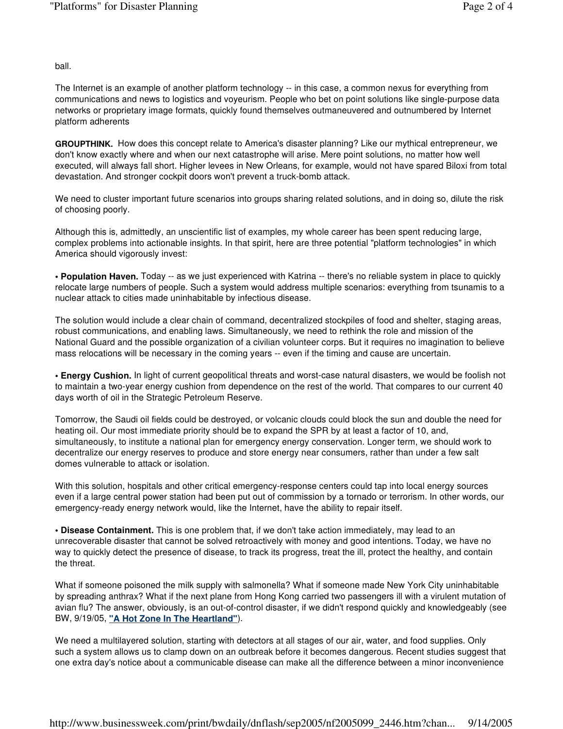ball.

The Internet is an example of another platform technology -- in this case, a common nexus for everything from communications and news to logistics and voyeurism. People who bet on point solutions like single-purpose data networks or proprietary image formats, quickly found themselves outmaneuvered and outnumbered by Internet platform adherents

**GROUPTHINK.** How does this concept relate to America's disaster planning? Like our mythical entrepreneur, we don't know exactly where and when our next catastrophe will arise. Mere point solutions, no matter how well executed, will always fall short. Higher levees in New Orleans, for example, would not have spared Biloxi from total devastation. And stronger cockpit doors won't prevent a truck-bomb attack.

We need to cluster important future scenarios into groups sharing related solutions, and in doing so, dilute the risk of choosing poorly.

Although this is, admittedly, an unscientific list of examples, my whole career has been spent reducing large, complex problems into actionable insights. In that spirit, here are three potential "platform technologies" in which America should vigorously invest:

**• Population Haven.** Today -- as we just experienced with Katrina -- there's no reliable system in place to quickly relocate large numbers of people. Such a system would address multiple scenarios: everything from tsunamis to a nuclear attack to cities made uninhabitable by infectious disease.

The solution would include a clear chain of command, decentralized stockpiles of food and shelter, staging areas, robust communications, and enabling laws. Simultaneously, we need to rethink the role and mission of the National Guard and the possible organization of a civilian volunteer corps. But it requires no imagination to believe mass relocations will be necessary in the coming years -- even if the timing and cause are uncertain.

**• Energy Cushion.** In light of current geopolitical threats and worst-case natural disasters, we would be foolish not to maintain a two-year energy cushion from dependence on the rest of the world. That compares to our current 40 days worth of oil in the Strategic Petroleum Reserve.

Tomorrow, the Saudi oil fields could be destroyed, or volcanic clouds could block the sun and double the need for heating oil. Our most immediate priority should be to expand the SPR by at least a factor of 10, and, simultaneously, to institute a national plan for emergency energy conservation. Longer term, we should work to decentralize our energy reserves to produce and store energy near consumers, rather than under a few salt domes vulnerable to attack or isolation.

With this solution, hospitals and other critical emergency-response centers could tap into local energy sources even if a large central power station had been put out of commission by a tornado or terrorism. In other words, our emergency-ready energy network would, like the Internet, have the ability to repair itself.

**• Disease Containment.** This is one problem that, if we don't take action immediately, may lead to an unrecoverable disaster that cannot be solved retroactively with money and good intentions. Today, we have no way to quickly detect the presence of disease, to track its progress, treat the ill, protect the healthy, and contain the threat.

What if someone poisoned the milk supply with salmonella? What if someone made New York City uninhabitable by spreading anthrax? What if the next plane from Hong Kong carried two passengers ill with a virulent mutation of avian flu? The answer, obviously, is an out-of-control disaster, if we didn't respond quickly and knowledgeably (see BW, 9/19/05, **"A Hot Zone In The Heartland"**).

We need a multilayered solution, starting with detectors at all stages of our air, water, and food supplies. Only such a system allows us to clamp down on an outbreak before it becomes dangerous. Recent studies suggest that one extra day's notice about a communicable disease can make all the difference between a minor inconvenience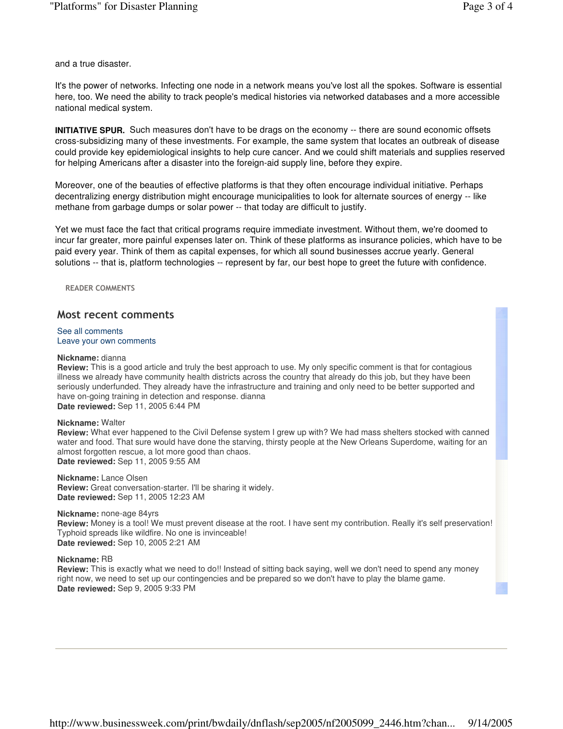and a true disaster.

It's the power of networks. Infecting one node in a network means you've lost all the spokes. Software is essential here, too. We need the ability to track people's medical histories via networked databases and a more accessible national medical system.

**INITIATIVE SPUR.** Such measures don't have to be drags on the economy -- there are sound economic offsets cross-subsidizing many of these investments. For example, the same system that locates an outbreak of disease could provide key epidemiological insights to help cure cancer. And we could shift materials and supplies reserved for helping Americans after a disaster into the foreign-aid supply line, before they expire.

Moreover, one of the beauties of effective platforms is that they often encourage individual initiative. Perhaps decentralizing energy distribution might encourage municipalities to look for alternate sources of energy -- like methane from garbage dumps or solar power -- that today are difficult to justify.

Yet we must face the fact that critical programs require immediate investment. Without them, we're doomed to incur far greater, more painful expenses later on. Think of these platforms as insurance policies, which have to be paid every year. Think of them as capital expenses, for which all sound businesses accrue yearly. General solutions -- that is, platform technologies -- represent by far, our best hope to greet the future with confidence.

**READER COMMENTS** 

# Most recent comments

See all comments Leave your own comments

#### **Nickname:** dianna

**Review:** This is a good article and truly the best approach to use. My only specific comment is that for contagious illness we already have community health districts across the country that already do this job, but they have been seriously underfunded. They already have the infrastructure and training and only need to be better supported and have on-going training in detection and response. dianna **Date reviewed:** Sep 11, 2005 6:44 PM

## **Nickname:** Walter

**Review:** What ever happened to the Civil Defense system I grew up with? We had mass shelters stocked with canned water and food. That sure would have done the starving, thirsty people at the New Orleans Superdome, waiting for an almost forgotten rescue, a lot more good than chaos. **Date reviewed:** Sep 11, 2005 9:55 AM

**Nickname:** Lance Olsen **Review:** Great conversation-starter. I'll be sharing it widely. **Date reviewed:** Sep 11, 2005 12:23 AM

**Nickname:** none-age 84yrs **Review:** Money is a tool! We must prevent disease at the root. I have sent my contribution. Really it's self preservation! Typhoid spreads like wildfire. No one is invinceable! **Date reviewed:** Sep 10, 2005 2:21 AM

## **Nickname:** RB

**Review:** This is exactly what we need to do!! Instead of sitting back saying, well we don't need to spend any money right now, we need to set up our contingencies and be prepared so we don't have to play the blame game. **Date reviewed:** Sep 9, 2005 9:33 PM